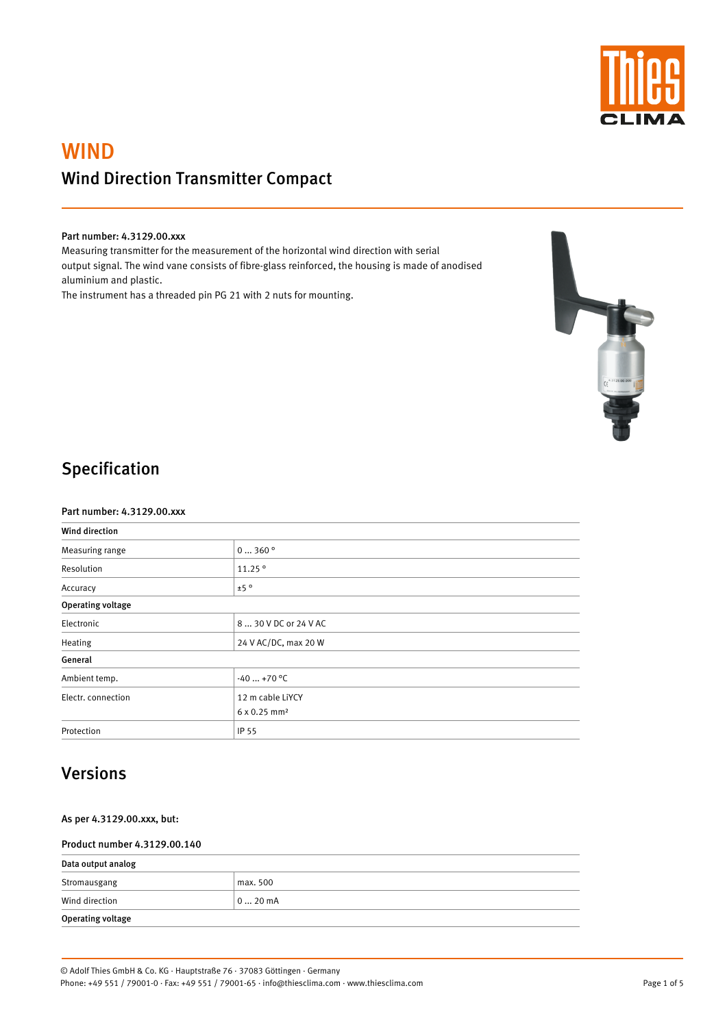

# WIND Wind Direction Transmitter Compact

### Part number: 4.3129.00.xxx

Measuring transmitter for the measurement of the horizontal wind direction with serial output signal. The wind vane consists of fibre-glass reinforced, the housing is made of anodised aluminium and plastic.

The instrument has a threaded pin PG 21 with 2 nuts for mounting.



## Specification

#### Part number: 4.3129.00.xxx

| <b>Wind direction</b>    |                          |  |
|--------------------------|--------------------------|--|
| Measuring range          | 0360°                    |  |
| Resolution               | 11.25°                   |  |
| Accuracy                 | ±5°                      |  |
| <b>Operating voltage</b> |                          |  |
| Electronic               | 8  30 V DC or 24 V AC    |  |
| Heating                  | 24 V AC/DC, max 20 W     |  |
| General                  |                          |  |
| Ambient temp.            | $-40+70$ °C              |  |
| Electr. connection       | 12 m cable LiYCY         |  |
|                          | 6 x 0.25 mm <sup>2</sup> |  |
| Protection               | IP 55                    |  |

### Versions

As per 4.3129.00.xxx, but:

### Product number 4.3129.00.140

| Data output analog       |           |  |
|--------------------------|-----------|--|
| Stromausgang             | max. 500  |  |
| Wind direction           | $ 020$ mA |  |
| <b>Operating voltage</b> |           |  |

Page 1 of 5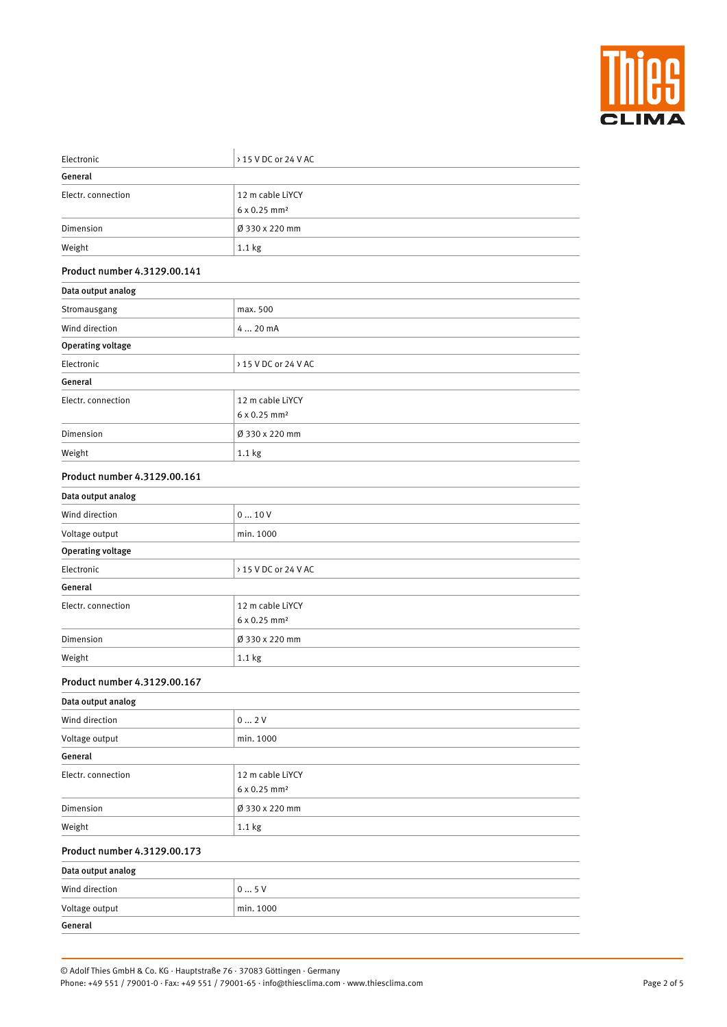

| Electronic                   | > 15 V DC or 24 V AC                         |  |  |
|------------------------------|----------------------------------------------|--|--|
| General                      |                                              |  |  |
| Electr. connection           | 12 m cable LiYCY<br>6 x 0.25 mm <sup>2</sup> |  |  |
| Dimension                    | Ø 330 x 220 mm                               |  |  |
| Weight                       | 1.1 <sub>kg</sub>                            |  |  |
| Product number 4.3129.00.141 |                                              |  |  |
| Data output analog           |                                              |  |  |
| Stromausgang                 | max. 500                                     |  |  |
| Wind direction               | 4  20 mA                                     |  |  |
| <b>Operating voltage</b>     |                                              |  |  |
| Electronic                   | > 15 V DC or 24 V AC                         |  |  |
| General                      |                                              |  |  |
| Electr. connection           | 12 m cable LiYCY<br>6 x 0.25 mm <sup>2</sup> |  |  |
| Dimension                    | Ø 330 x 220 mm                               |  |  |
| Weight                       | 1.1 kg                                       |  |  |
| Product number 4.3129.00.161 |                                              |  |  |
| Data output analog           |                                              |  |  |
| Wind direction               | 010V                                         |  |  |
| Voltage output               | min. 1000                                    |  |  |
| <b>Operating voltage</b>     |                                              |  |  |
| Electronic                   | > 15 V DC or 24 V AC                         |  |  |
| General                      |                                              |  |  |
| Electr. connection           | 12 m cable LiYCY<br>6 x 0.25 mm <sup>2</sup> |  |  |
| Dimension                    | Ø 330 x 220 mm                               |  |  |
| Weight                       | 1.1 kg                                       |  |  |
| Product number 4.3129.00.167 |                                              |  |  |
| Data output analog           |                                              |  |  |
| Wind direction               | 02V                                          |  |  |
| Voltage output               | min. 1000                                    |  |  |
| General                      |                                              |  |  |
| Flectr connection            | $12 \text{ m}$ cable LiVCV                   |  |  |

| LICULI, CUILICULIUII | IZ III CADIE LITUT              |
|----------------------|---------------------------------|
|                      | $6 \times 0.25$ mm <sup>2</sup> |
| Dimension            | Ø 330 x 220 mm                  |
| Weight               | 1.1 <sub>kg</sub>               |

### Product number 4.3129.00.173

| Data output analog |           |  |
|--------------------|-----------|--|
| Wind direction     | 05V       |  |
| Voltage output     | min. 1000 |  |
| General            |           |  |

Page 2 of 5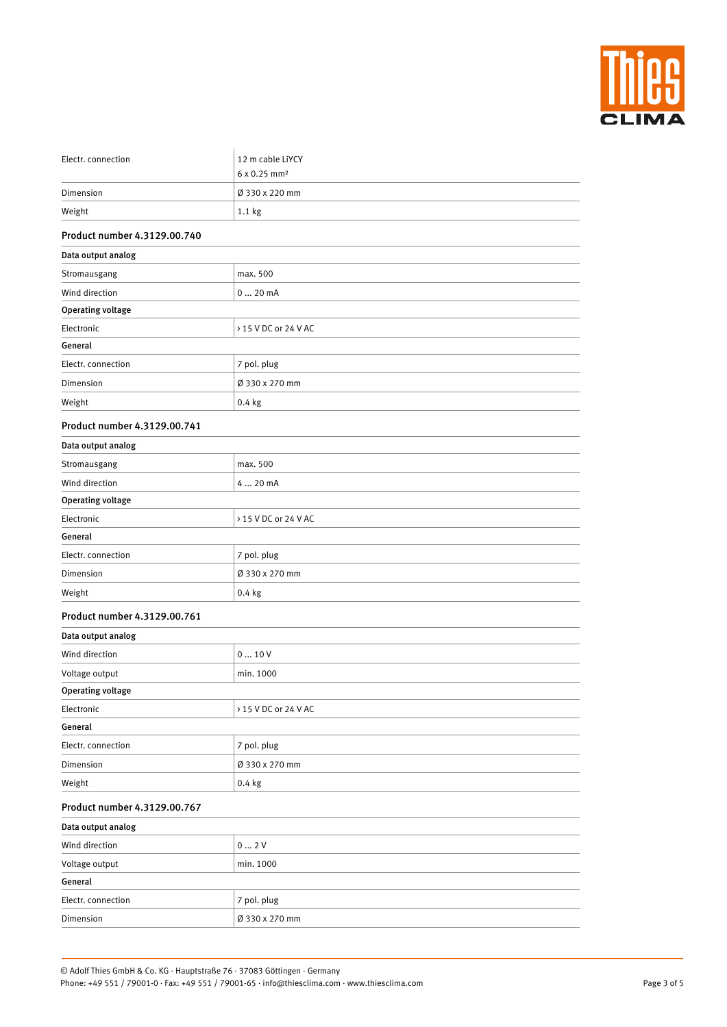

| Electr. connection           | 12 m cable LiYCY         |
|------------------------------|--------------------------|
|                              | 6 x 0.25 mm <sup>2</sup> |
| Dimension                    | Ø 330 x 220 mm           |
| Weight                       | 1.1 kg                   |
| Product number 4.3129.00.740 |                          |
| Data output analog           |                          |
| Stromausgang                 | max. 500                 |
| Wind direction               | 020mA                    |
| <b>Operating voltage</b>     |                          |
| Electronic                   | > 15 V DC or 24 V AC     |
| General                      |                          |
| Electr. connection           | 7 pol. plug              |
| Dimension                    | Ø 330 x 270 mm           |
| Weight                       | $0.4$ kg                 |
| Product number 4.3129.00.741 |                          |
| Data output analog           |                          |
| Stromausgang                 | max. 500                 |
| Wind direction               | 4  20 mA                 |
| <b>Operating voltage</b>     |                          |
| Electronic                   | > 15 V DC or 24 V AC     |
| General                      |                          |
| Electr. connection           | 7 pol. plug              |
| Dimension                    | Ø 330 x 270 mm           |
| Weight                       | $0.4$ kg                 |
| Product number 4.3129.00.761 |                          |
| Data output analog           |                          |
| Wind direction               | 010V                     |
| Voltage output               | min. 1000                |
| <b>Operating voltage</b>     |                          |
| Electronic                   | > 15 V DC or 24 V AC     |
| General                      |                          |
| Electr. connection           | 7 pol. plug              |
| Dimension                    | Ø 330 x 270 mm           |

| Weight                       | $0.4$ kg       |  |
|------------------------------|----------------|--|
| Product number 4.3129.00.767 |                |  |
| Data output analog           |                |  |
| Wind direction               | 02V            |  |
| Voltage output               | min. 1000      |  |
| General                      |                |  |
| Electr. connection           | 7 pol. plug    |  |
| Dimension                    | Ø 330 x 270 mm |  |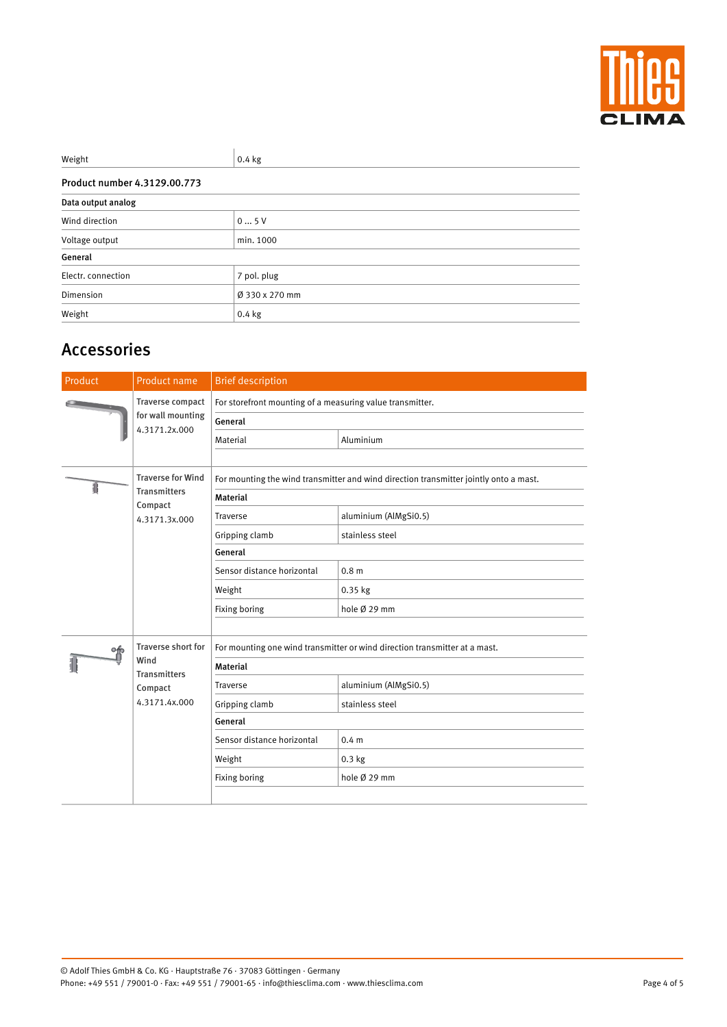

| Weight                       | $0.4$ kg       |  |
|------------------------------|----------------|--|
| Product number 4.3129.00.773 |                |  |
| Data output analog           |                |  |
| Wind direction               | 05V            |  |
| Voltage output               | min. 1000      |  |
| General                      |                |  |
| Electr. connection           | 7 pol. plug    |  |
| Dimension                    | Ø 330 x 270 mm |  |
| Weight                       | $0.4$ kg       |  |

# Accessories

| Product | Product name                                                                         | <b>Brief description</b>                                                              |                       |
|---------|--------------------------------------------------------------------------------------|---------------------------------------------------------------------------------------|-----------------------|
|         | <b>Traverse compact</b><br>for wall mounting                                         | For storefront mounting of a measuring value transmitter.                             |                       |
|         |                                                                                      | General                                                                               |                       |
|         | 4.3171.2x.000                                                                        | Material                                                                              | Aluminium             |
|         |                                                                                      |                                                                                       |                       |
| 1       | <b>Traverse for Wind</b>                                                             | For mounting the wind transmitter and wind direction transmitter jointly onto a mast. |                       |
|         | <b>Transmitters</b><br>Compact                                                       | <b>Material</b>                                                                       |                       |
|         | 4.3171.3x.000                                                                        | Traverse                                                                              | aluminium (AlMgSi0.5) |
|         |                                                                                      | Gripping clamb                                                                        | stainless steel       |
|         |                                                                                      | General                                                                               |                       |
|         |                                                                                      | Sensor distance horizontal                                                            | 0.8 <sub>m</sub>      |
|         |                                                                                      | Weight                                                                                | 0.35 kg               |
|         |                                                                                      | Fixing boring                                                                         | hole Ø 29 mm          |
|         |                                                                                      |                                                                                       |                       |
| of      | <b>Traverse short for</b><br>Wind<br><b>Transmitters</b><br>Compact<br>4.3171.4x.000 | For mounting one wind transmitter or wind direction transmitter at a mast.            |                       |
|         |                                                                                      | <b>Material</b>                                                                       |                       |
|         |                                                                                      | Traverse                                                                              | aluminium (AlMgSi0.5) |
|         |                                                                                      | Gripping clamb                                                                        | stainless steel       |
|         |                                                                                      | General                                                                               |                       |
|         |                                                                                      | Sensor distance horizontal                                                            | 0.4 <sub>m</sub>      |
|         |                                                                                      | Weight                                                                                | $0.3$ kg              |
|         |                                                                                      | Fixing boring                                                                         | hole Ø 29 mm          |
|         |                                                                                      |                                                                                       |                       |